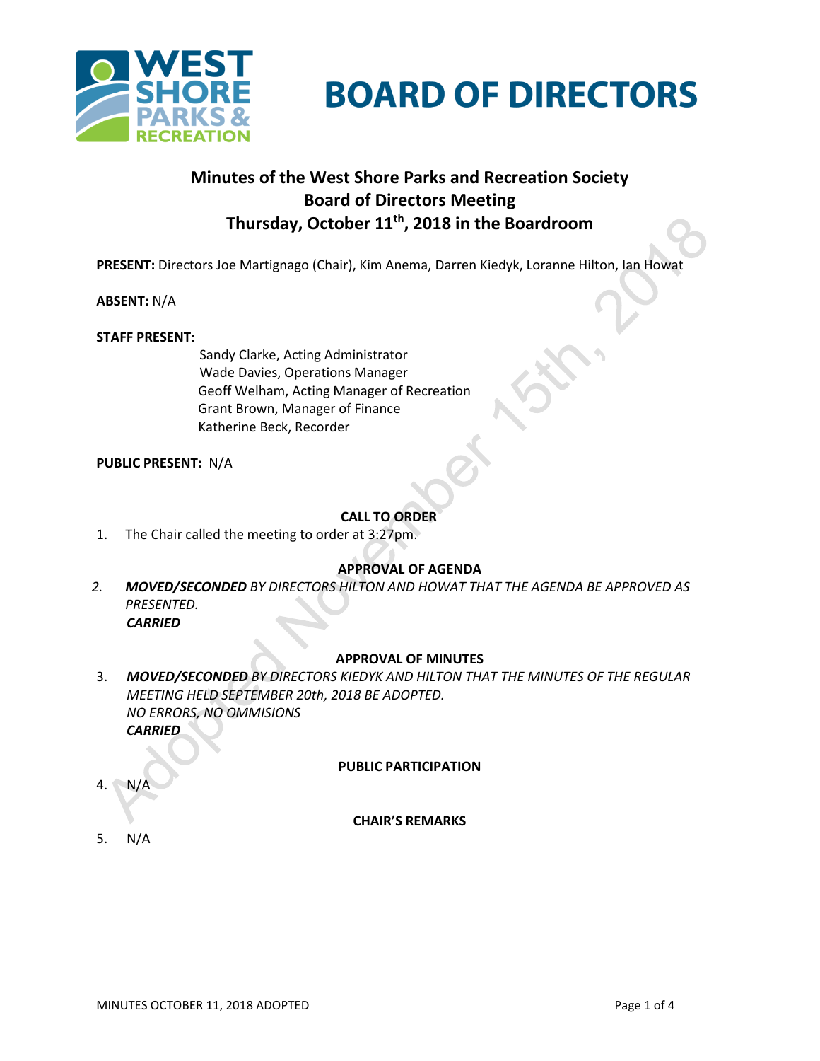

# **BOARD OF DIRECTORS**

# **Minutes of the West Shore Parks and Recreation Society Board of Directors Meeting Thursday, October 11th , 2018 in the Boardroom**

**PRESENT:** Directors Joe Martignago (Chair), Kim Anema, Darren Kiedyk, Loranne Hilton, Ian Howat

## **ABSENT:** N/A

## **STAFF PRESENT:**

Sandy Clarke, Acting Administrator Wade Davies, Operations Manager Geoff Welham, Acting Manager of Recreation Grant Brown, Manager of Finance Katherine Beck, Recorder

**PUBLIC PRESENT:** N/A

# **CALL TO ORDER**

1. The Chair called the meeting to order at 3:27pm.

## **APPROVAL OF AGENDA**

*2. MOVED/SECONDED BY DIRECTORS HILTON AND HOWAT THAT THE AGENDA BE APPROVED AS PRESENTED. CARRIED*

## **APPROVAL OF MINUTES**

3. *MOVED/SECONDED BY DIRECTORS KIEDYK AND HILTON THAT THE MINUTES OF THE REGULAR MEETING HELD SEPTEMBER 20th, 2018 BE ADOPTED. NO ERRORS, NO OMMISIONS CARRIED*

## **PUBLIC PARTICIPATION**

4. N/A

## **CHAIR'S REMARKS**

5. N/A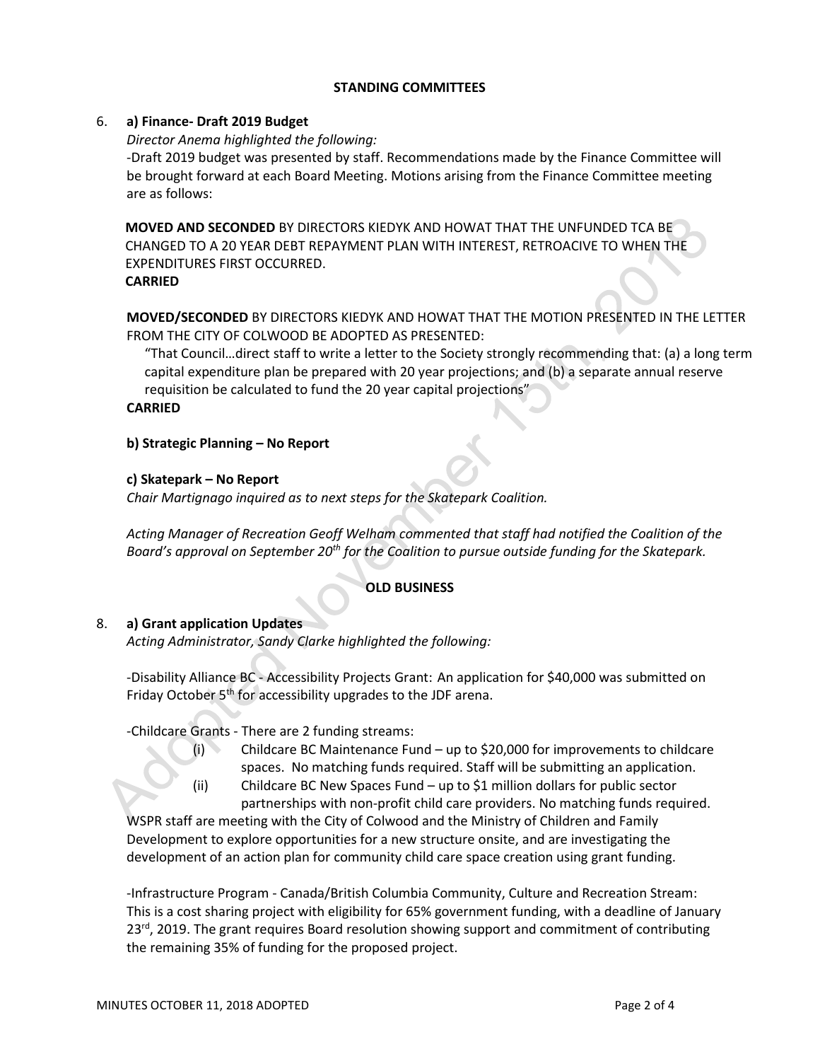## **STANDING COMMITTEES**

#### 6. **a) Finance- Draft 2019 Budget**

*Director Anema highlighted the following:*

-Draft 2019 budget was presented by staff. Recommendations made by the Finance Committee will be brought forward at each Board Meeting. Motions arising from the Finance Committee meeting are as follows:

**MOVED AND SECONDED** BY DIRECTORS KIEDYK AND HOWAT THAT THE UNFUNDED TCA BE CHANGED TO A 20 YEAR DEBT REPAYMENT PLAN WITH INTEREST, RETROACIVE TO WHEN THE EXPENDITURES FIRST OCCURRED.

#### **CARRIED**

**MOVED/SECONDED** BY DIRECTORS KIEDYK AND HOWAT THAT THE MOTION PRESENTED IN THE LETTER FROM THE CITY OF COLWOOD BE ADOPTED AS PRESENTED:

"That Council…direct staff to write a letter to the Society strongly recommending that: (a) a long term capital expenditure plan be prepared with 20 year projections; and (b) a separate annual reserve requisition be calculated to fund the 20 year capital projections"

#### **CARRIED**

## **b) Strategic Planning – No Report**

## **c) Skatepark – No Report**

*Chair Martignago inquired as to next steps for the Skatepark Coalition.*

*Acting Manager of Recreation Geoff Welham commented that staff had notified the Coalition of the Board's approval on September 20th for the Coalition to pursue outside funding for the Skatepark.*

## **OLD BUSINESS**

## 8. **a) Grant application Updates**

*Acting Administrator, Sandy Clarke highlighted the following:*

-Disability Alliance BC - Accessibility Projects Grant: An application for \$40,000 was submitted on Friday October 5<sup>th</sup> for accessibility upgrades to the JDF arena.

-Childcare Grants - There are 2 funding streams:

(i) Childcare BC Maintenance Fund – up to \$20,000 for improvements to childcare spaces. No matching funds required. Staff will be submitting an application. (ii) Childcare BC New Spaces Fund – up to \$1 million dollars for public sector

partnerships with non-profit child care providers. No matching funds required.

WSPR staff are meeting with the City of Colwood and the Ministry of Children and Family Development to explore opportunities for a new structure onsite, and are investigating the development of an action plan for community child care space creation using grant funding.

-Infrastructure Program - Canada/British Columbia Community, Culture and Recreation Stream: This is a cost sharing project with eligibility for 65% government funding, with a deadline of January 23<sup>rd</sup>, 2019. The grant requires Board resolution showing support and commitment of contributing the remaining 35% of funding for the proposed project.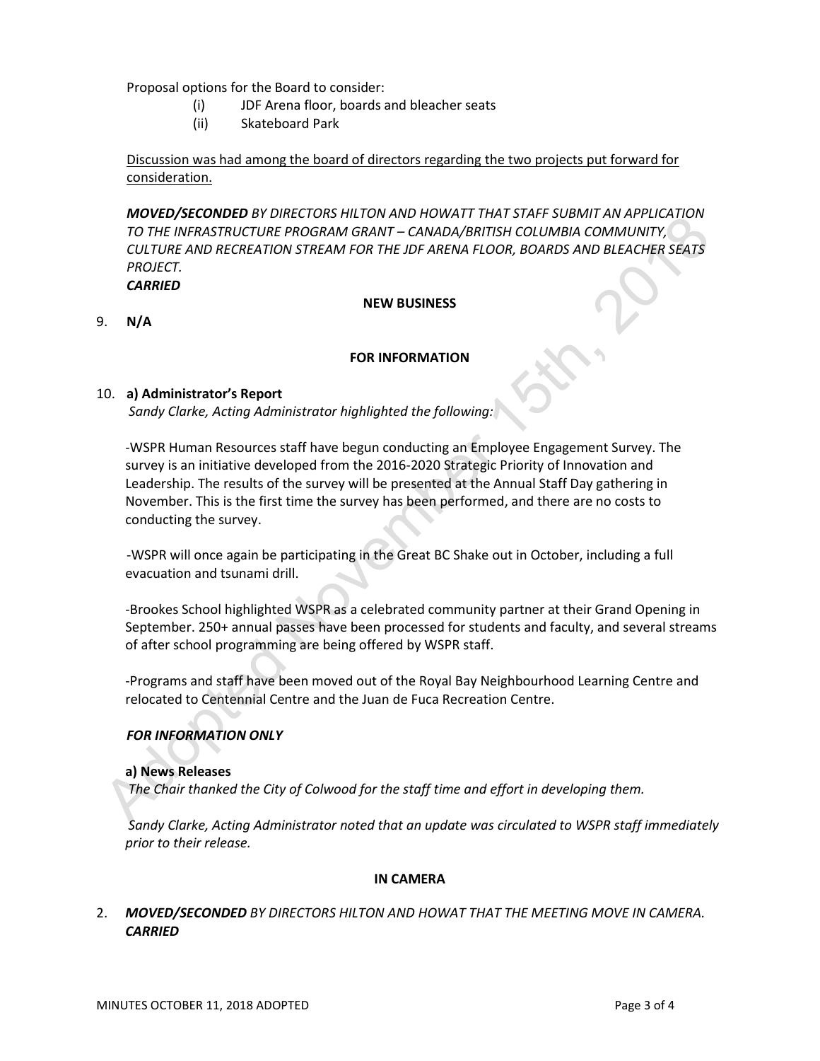Proposal options for the Board to consider:

- (i) JDF Arena floor, boards and bleacher seats
- (ii) Skateboard Park

Discussion was had among the board of directors regarding the two projects put forward for consideration.

*MOVED/SECONDED BY DIRECTORS HILTON AND HOWATT THAT STAFF SUBMIT AN APPLICATION TO THE INFRASTRUCTURE PROGRAM GRANT – CANADA/BRITISH COLUMBIA COMMUNITY, CULTURE AND RECREATION STREAM FOR THE JDF ARENA FLOOR, BOARDS AND BLEACHER SEATS PROJECT.*

*CARRIED*

#### **NEW BUSINESS**

9. **N/A**

#### **FOR INFORMATION**

#### 10. **a) Administrator's Report**

*Sandy Clarke, Acting Administrator highlighted the following:*

-WSPR Human Resources staff have begun conducting an Employee Engagement Survey. The survey is an initiative developed from the 2016-2020 Strategic Priority of Innovation and Leadership. The results of the survey will be presented at the Annual Staff Day gathering in November. This is the first time the survey has been performed, and there are no costs to conducting the survey.

-WSPR will once again be participating in the Great BC Shake out in October, including a full evacuation and tsunami drill.

-Brookes School highlighted WSPR as a celebrated community partner at their Grand Opening in September. 250+ annual passes have been processed for students and faculty, and several streams of after school programming are being offered by WSPR staff.

-Programs and staff have been moved out of the Royal Bay Neighbourhood Learning Centre and relocated to Centennial Centre and the Juan de Fuca Recreation Centre.

## *FOR INFORMATION ONLY*

#### **a) News Releases**

*The Chair thanked the City of Colwood for the staff time and effort in developing them.*

*Sandy Clarke, Acting Administrator noted that an update was circulated to WSPR staff immediately prior to their release.* 

#### **IN CAMERA**

# 2. *MOVED/SECONDED BY DIRECTORS HILTON AND HOWAT THAT THE MEETING MOVE IN CAMERA. CARRIED*